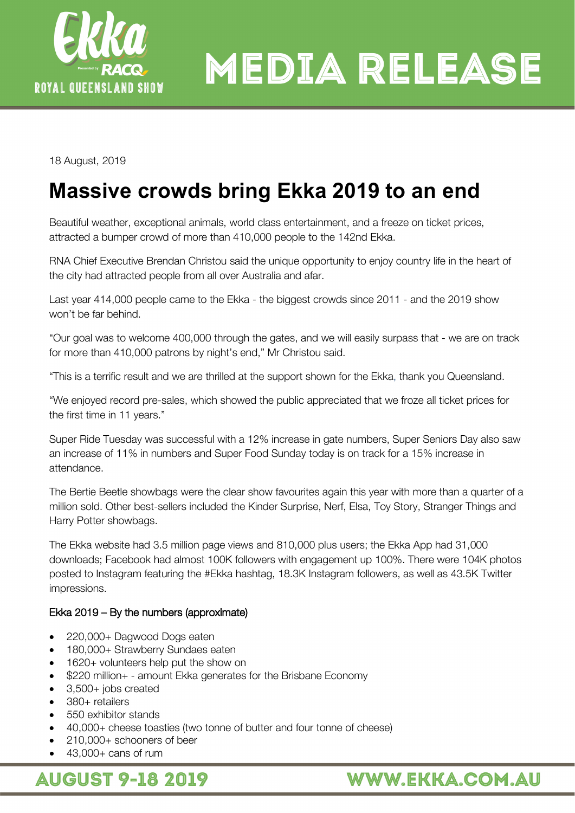

## **MEDIA RELEASE**

18 August, 2019

## **Massive crowds bring Ekka 2019 to an end**

Beautiful weather, exceptional animals, world class entertainment, and a freeze on ticket prices, attracted a bumper crowd of more than 410,000 people to the 142nd Ekka.

RNA Chief Executive Brendan Christou said the unique opportunity to enjoy country life in the heart of the city had attracted people from all over Australia and afar.

Last year 414,000 people came to the Ekka - the biggest crowds since 2011 - and the 2019 show won't be far behind.

"Our goal was to welcome 400,000 through the gates, and we will easily surpass that - we are on track for more than 410,000 patrons by night's end," Mr Christou said.

"This is a terrific result and we are thrilled at the support shown for the Ekka, thank you Queensland.

"We enjoyed record pre-sales, which showed the public appreciated that we froze all ticket prices for the first time in 11 years."

Super Ride Tuesday was successful with a 12% increase in gate numbers, Super Seniors Day also saw an increase of 11% in numbers and Super Food Sunday today is on track for a 15% increase in attendance.

The Bertie Beetle showbags were the clear show favourites again this year with more than a quarter of a million sold. Other best-sellers included the Kinder Surprise, Nerf, Elsa, Toy Story, Stranger Things and Harry Potter showbags.

The Ekka website had 3.5 million page views and 810,000 plus users; the Ekka App had 31,000 downloads; Facebook had almost 100K followers with engagement up 100%. There were 104K photos posted to Instagram featuring the #Ekka hashtag, 18.3K Instagram followers, as well as 43.5K Twitter impressions.

#### Ekka 2019 – By the numbers (approximate)

- 220,000+ Dagwood Dogs eaten
- 180,000+ Strawberry Sundaes eaten
- 1620+ volunteers help put the show on
- \$220 million+ amount Ekka generates for the Brisbane Economy
- 3,500+ jobs created
- 380+ retailers
- 550 exhibitor stands
- 40,000+ cheese toasties (two tonne of butter and four tonne of cheese)
- 210,000+ schooners of beer
- 43,000+ cans of rum

### **AUGUST 9-18 2019**

### WWW.EKKA.COM.AU